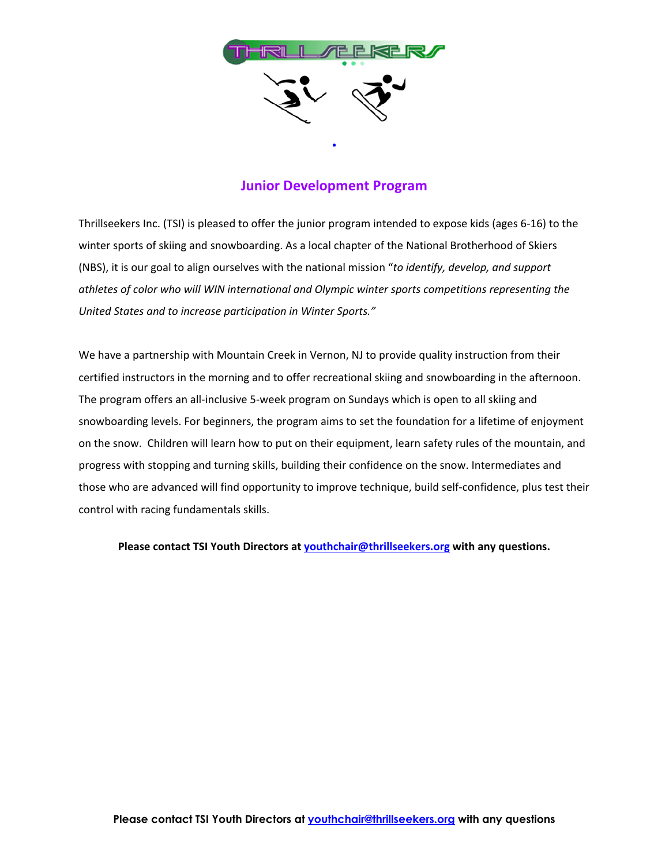

### **Junior Development Program**

Thrillseekers Inc. (TSI) is pleased to offer the junior program intended to expose kids (ages 6-16) to the winter sports of skiing and snowboarding. As a local chapter of the National Brotherhood of Skiers (NBS), it is our goal to align ourselves with the national mission "*to identify, develop, and support athletes of color who will WIN international and Olympic winter sports competitions representing the United States and to increase participation in Winter Sports."*

We have a partnership with Mountain Creek in Vernon, NJ to provide quality instruction from their certified instructors in the morning and to offer recreational skiing and snowboarding in the afternoon. The program offers an all-inclusive 5-week program on Sundays which is open to all skiing and snowboarding levels. For beginners, the program aims to set the foundation for a lifetime of enjoyment on the snow. Children will learn how to put on their equipment, learn safety rules of the mountain, and progress with stopping and turning skills, building their confidence on the snow. Intermediates and those who are advanced will find opportunity to improve technique, build self-confidence, plus test their control with racing fundamentals skills.

**Please contact TSI Youth Directors at [youthchair@thrillseekers.org](mailto:youthchair@thrillseekers.org) with any questions.**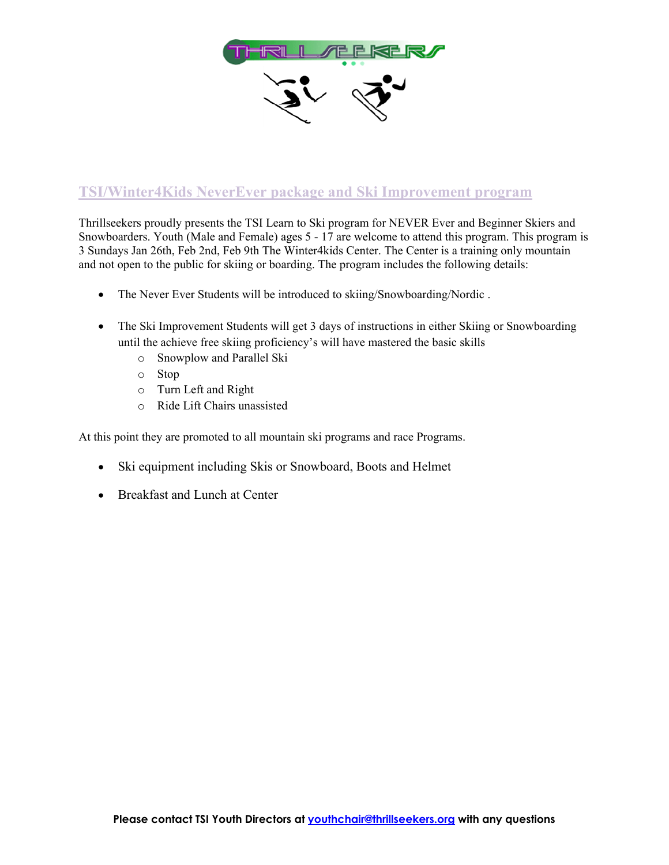

## **TSI/Winter4Kids NeverEver package and Ski Improvement program**

Thrillseekers proudly presents the TSI Learn to Ski program for NEVER Ever and Beginner Skiers and Snowboarders. Youth (Male and Female) ages 5 - 17 are welcome to attend this program. This program is 3 Sundays Jan 26th, Feb 2nd, Feb 9th The Winter4kids Center. The Center is a training only mountain and not open to the public for skiing or boarding. The program includes the following details:

- The Never Ever Students will be introduced to skiing/Snowboarding/Nordic.
- The Ski Improvement Students will get 3 days of instructions in either Skiing or Snowboarding until the achieve free skiing proficiency's will have mastered the basic skills
	- o Snowplow and Parallel Ski
	- o Stop
	- o Turn Left and Right
	- o Ride Lift Chairs unassisted

At this point they are promoted to all mountain ski programs and race Programs.

- Ski equipment including Skis or Snowboard, Boots and Helmet
- Breakfast and Lunch at Center